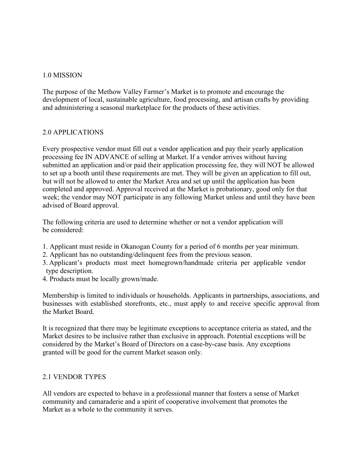### 1.0 MISSION

The purpose of the Methow Valley Farmer's Market is to promote and encourage the development of local, sustainable agriculture, food processing, and artisan crafts by providing and administering a seasonal marketplace for the products of these activities.

## 2.0 APPLICATIONS

Every prospective vendor must fill out a vendor application and pay their yearly application processing fee IN ADVANCE of selling at Market. If a vendor arrives without having submitted an application and/or paid their application processing fee, they will NOT be allowed to set up a booth until these requirements are met. They will be given an application to fill out, but will not be allowed to enter the Market Area and set up until the application has been completed and approved. Approval received at the Marketis probationary, good only for that week; the vendor may NOT participate in any following Market unless and until they have been advised of Board approval.

The following criteria are used to determine whether or not a vendor application will be considered:

- 1. Applicant must reside in Okanogan County for a period of 6 months per year minimum.
- 2. Applicant has no outstanding/delinquent fees from the previous season.
- 3. Applicant's products must meet homegrown/handmade criteria per applicable vendor type description.
- 4. Products must be locally grown/made.

Membership is limited to individuals or households. Applicants in partnerships, associations, and businesses with established storefronts, etc., must apply to and receive specific approval from the Market Board.

It is recognized that there may be legitimate exceptions to acceptance criteria as stated, and the Market desires to be inclusive rather than exclusive in approach. Potential exceptions will be considered by the Market's Board of Directors on a case-by-case basis. Any exceptions granted will be good for the current Market season only.

# 2.1 VENDOR TYPES

All vendors are expected to behave in a professional manner that fosters a sense of Market community and camaraderie and a spirit of cooperative involvement that promotes the Market as a whole to the community it serves.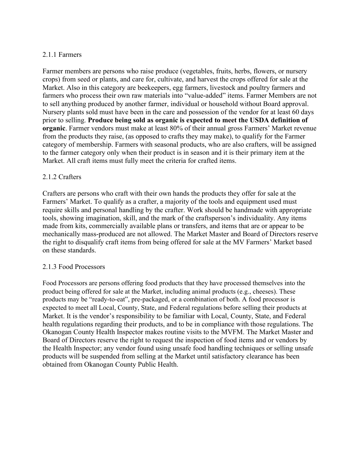## 2.1.1 Farmers

Farmer members are persons who raise produce (vegetables, fruits, herbs, flowers, or nursery crops) from seed or plants, and care for, cultivate, and harvest the crops offered for sale atthe Market. Also in this category are beekeepers, egg farmers, livestock and poultry farmers and farmers who process their own raw materials into "value-added" items. Farmer Members are not to sell anything produced by another farmer, individual or household without Board approval. Nursery plants sold must have been in the care and possession of the vendor for at least 60 days prior to selling. **Produce being sold as organic is expected tomeet the USDA definition of organic**. Farmer vendors must make at least 80% of their annual gross Farmers' Market revenue from the products they raise, (as opposed to crafts they may make), to qualify for the Farmer category of membership. Farmers with seasonal products, who are also crafters, will be assigned to the farmer category only when their product is in season and it is their primary item at the Market. All craft items must fully meet the criteria for crafted items.

## 2.1.2 Crafters

Crafters are persons who craft with their own hands the products they offer for sale at the Farmers' Market. To qualify as a crafter, a majority of the tools and equipment used must require skills and personal handling by the crafter. Work should be handmade with appropriate tools, showing imagination, skill, and the mark of the craftsperson's individuality. Any items made from kits, commercially available plans or transfers, and items that are or appear to be mechanically mass-produced are not allowed. The Market Master and Board of Directors reserve the right to disqualify craft items from being offered for sale atthe MV Farmers' Market based on these standards.

#### 2.1.3 Food Processors

Food Processors are persons offering food products that they have processed themselves into the product being offered for sale at the Market, including animal products (e.g., cheeses). These products may be "ready-to-eat", pre-packaged, or a combination of both. A food processor is expected to meet all Local, County, State, and Federal regulations before selling their products at Market. It is the vendor's responsibility to be familiar with Local, County, State, and Federal health regulations regarding their products, and to be in compliance with those regulations. The Okanogan County Health Inspector makes routine visits to the MVFM. The Market Master and Board of Directors reserve the right to request the inspection of food items and or vendors by the Health Inspector; any vendor found using unsafe food handling techniques or selling unsafe products will be suspended from selling at the Market until satisfactory clearance has been obtained from Okanogan County Public Health.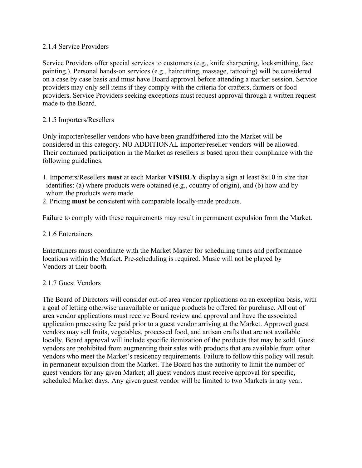#### 2.1.4 Service Providers

Service Providers offer special services to customers (e.g., knife sharpening, locksmithing, face painting.). Personal hands-on services (e.g., haircutting, massage, tattooing) will be considered on a case by case basis and must have Board approval before attending a market session. Service providers may only sell items if they comply with the criteria for crafters, farmers orfood providers. Service Providers seeking exceptions must request approval through a written request made to the Board.

### 2.1.5 Importers/Resellers

Only importer/reseller vendors who have been grandfathered into the Market will be considered in this category. NO ADDITIONAL importer/reseller vendors will be allowed.<br>Their continued participation in the Market as resellers is based upon their compliance with the following guidelines.

- 1. Importers/Resellers **must** at each Market **VISIBLY** display a sign at least 8x10 in size that identifies: (a) where products were obtained (e.g., country of origin), and (b) how and by whom the products were made.<br>2. Pricing **must** be consistent with comparable locally-made products.
- 

Failure to comply with these requirements may result in permanent expulsion from the Market.

### 2.1.6 Entertainers

Entertainers must coordinate with the Market Master for scheduling times and performance locations within the Market. Pre-scheduling is required. Music will not be played by Vendors at their booth.

#### 2.1.7 Guest Vendors

The Board of Directors will consider out-of-area vendor applications on an exception basis, with a goal of letting otherwise unavailable or unique products be offered for purchase. All out of area vendor applications must receive Board review and approval and have the associated application processing fee paid prior to a guest vendor arriving at the Market. Approved guest vendors may sell fruits, vegetables, processed food, and artisan crafts that are not available locally. Board approval will include specific itemization of the products that may be sold. Guest vendors are prohibited from augmenting their sales with products that are available from other vendors who meet the Market's residency requirements. Failure to follow this policy will result in permanent expulsion from the Market. The Board has the authority to limit the number of guest vendors for any given Market; all guest vendors must receive approval for specific, scheduled Market days. Any given guest vendor will be limited to two Markets in any year.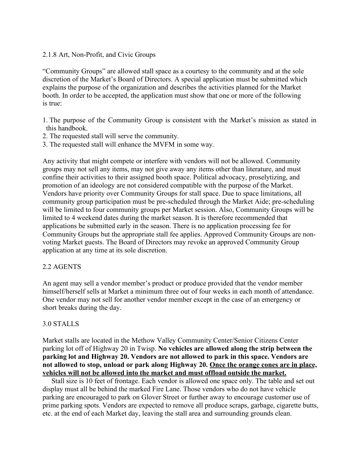#### 2.1.8 Art, Non-Profit, and Civic Groups

"Community Groups" are allowed stall space as a courtesy to the community and at the sole discretion of the Market's Board of Directors. A special application must be submitted which explains the purpose of the organization and describes the activities planned for the Market booth. In order to be accepted, the application must show that one or more of the following is true:

- 1. The purpose of the Community Group is consistent with the Market's mission as stated in this handbook.
- 2. The requested stall will serve the community.
- 3. The requested stall will enhance the MVFM in some way.

Any activity that might compete or interfere with vendors will not be allowed. Community groups may not sell any items, may not give away any items other than literature, and must confine their activities to their assigned booth space. Political advocacy, proselytizing, and promotion of an ideology are not considered compatible with the purpose of the Market. Vendors have priority over Community Groups for stall space. Due to space limitations, all community group participation must be pre-scheduled through the Market Aide; pre-scheduling will be limited to four community groups per Market session. Also, Community Groups will be limited to 4 weekend dates during the market season. It is therefore recommended that applications be submitted early in the season. There is no application processing fee for Community Groups but the appropriate stall fee applies. Approved Community Groups are non-voting Market guests. The Board of Directors may revoke an approved Community Group application at any time at its sole discretion.

#### 2.2 AGENTS

An agent may sell a vendor member's product or produce provided that the vendor member himself/herself sells at Market a minimum three out of four weeks in each month of attendance. One vendor may not sell for another vendor member except in the case of an emergency or short breaks during the day.

#### 3.0 STALLS

Market stalls are located in the Methow Valley Community Center/Senior Citizens Center parking lot off of Highway 20 in Twisp. **No vehicles are allowed along the strip between the parking lot and Highway 20. Vendors are not allowed topark in this space. Vendors are not allowed tostop, unload or park along Highway 20. Once the orange cones are in place, vehicles will not be allowed into the market and must offload outside the market.**

Stall size is 10 feet of frontage. Each vendor is allowed one space only. The table and set out display must all be behind the marked Fire Lane. Those vendors who do not have vehicle parking are encouraged to park on Glover Street or further away to encourage customer use of prime parking spots*.* Vendors are expected to remove all produce scraps, garbage, cigarette butts, etc. at the end of each Market day, leaving the stall area and surrounding grounds clean.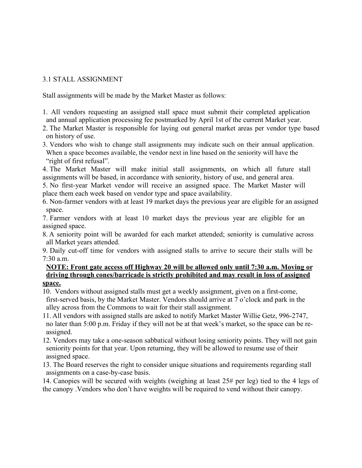## 3.1 STALL ASSIGNMENT

Stall assignments will be made by the Market Master as follows:

1. All vendors requesting an assigned stall space must submit their completed application and annual application processing fee postmarked by April 1st of the current Market year.

2. The Market Master is responsible for laying out general market areas per vendor type based on history of use.

3. Vendors who wish to change stall assignments may indicate such on their annual application. When a space becomes available, the vendor next in line based on the seniority will have the "right of first refusal".

4. The Market Master will make initial stall assignments, on which all future stall assignments will be based, in accordance with seniority, history of use, and general area.

5. No first-year Market vendor will receive an assigned space. The Market Master will place them each week based on vendor type and space availability.

6. Non-farmer vendors with at least 19 market days the previous year are eligible for an assigned space.

7. Farmer vendors with at least 10 market days the previous year are eligible for an assigned space.

8. A seniority point will be awarded for each market attended; seniority is cumulative across all Market years attended.

9. Daily cut-off time for vendors with assigned stalls to arrive to secure their stalls will be 7:30 a.m.

#### **NOTE: Front gate access off Highway 20 will be allowed only until 7:30 a.m. Moving or driving through cones/barricade is strictly prohibited and may result in loss ofassigned space.**

10. Vendors without assigned stalls must get a weekly assignment, given on a first-come, first-served basis, by the Market Master. Vendors should arrive at 7 o'clock and park in the alley across from the Commons to wait for their stall assignment.

11. All vendors with assigned stalls are asked to notify Market Master Willie Getz, 996-2747, no later than 5:00 p.m. Friday if they will not be at that week's market, so the space can be re assigned.

12. Vendors may take a one-season sabbatical without losing seniority points. They will not gain seniority points for that year. Upon returning, they will be allowed to resume use of their assigned space.

13. The Board reserves the right to consider unique situations and requirements regarding stall assignments on a case-by-case basis.

14. Canopies will be secured with weights (weighing at least 25# per leg) tied to the 4 legs of the canopy .Vendors who don't have weights will be required to vend without their canopy.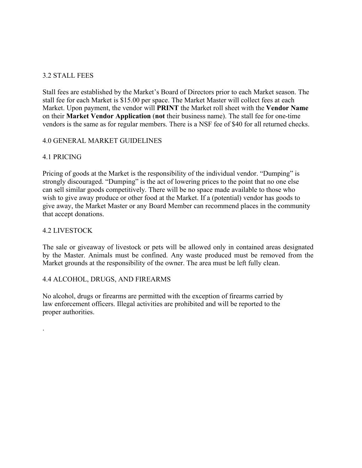### 3.2 STALL FEES

Stall fees are established by the Market's Board of Directors prior to each Market season. The stall fee for each Market is \$15.00 per space. The Market Master will collect fees at each Market. Upon payment, the vendor will **PRINT** the Market roll sheet with the **Vendor Name** on their **Market Vendor Application** (**not** their business name). The stall fee for one-time vendors is the same as for regular members. There is a NSF fee of \$40 for all returned checks.

## 4.0 GENERAL MARKET GUIDELINES

# 4.1 PRICING

Pricing of goods at the Market is the responsibility of the individual vendor. "Dumping" is strongly discouraged. "Dumping" is the act of lowering prices to the point that no one else can sell similar goods competitively. There will be no space made available to those who wish to give away produce or other food at the Market. If a (potential) vendor has goods to give away, the Market Master or any Board Member can recommend places in the community that accept donations.

# 4.2 LIVESTOCK

.

The sale or giveaway of livestock or pets will be allowed only in contained areas designated by the Master. Animals must be confined. Any waste produced must be removed from the Market grounds at the responsibility of the owner. The area must be left fully clean.

#### 4.4 ALCOHOL, DRUGS, AND FIREARMS

No alcohol, drugs or firearms are permitted with the exception of firearms carried by law enforcement officers. Illegal activities are prohibited and will be reported to the proper authorities.